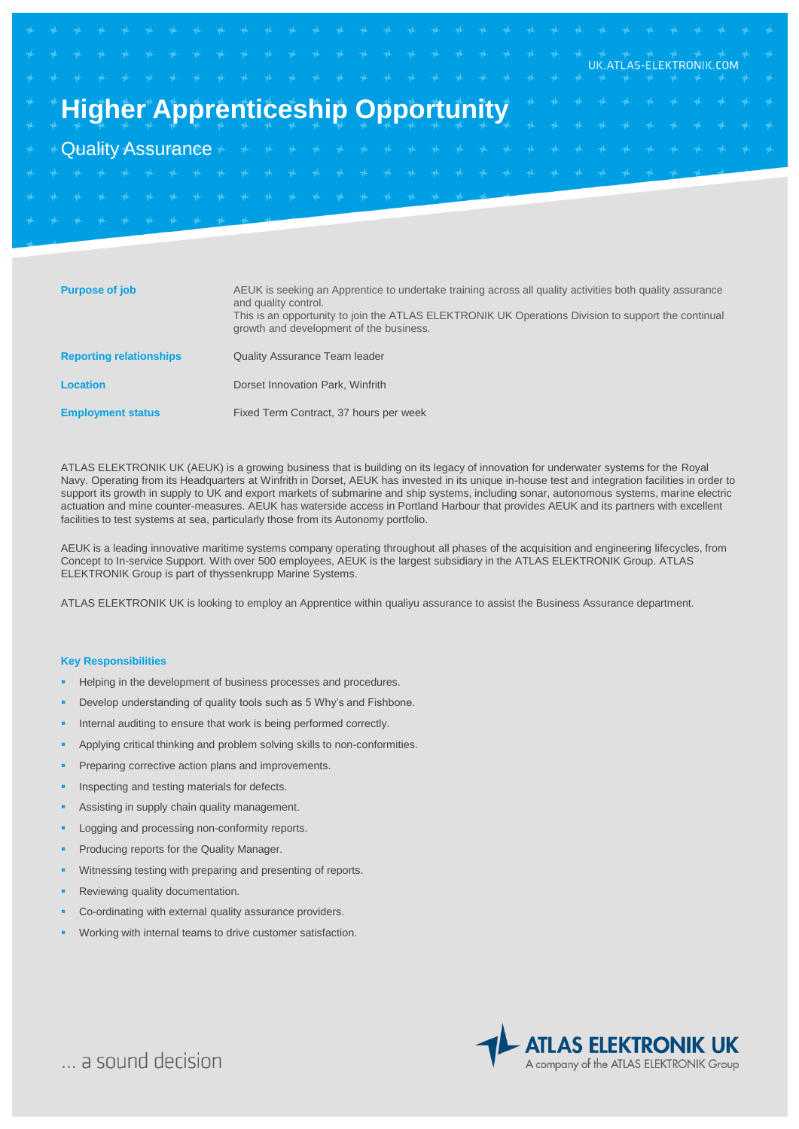# **Higher Apprenticeship Opportunity**

# Quality Assurance

| <b>Purpose of job</b>          | AEUK is seeking an Apprentice to undertake training across all quality activities both quality assurance<br>and quality control.<br>This is an opportunity to join the ATLAS ELEKTRONIK UK Operations Division to support the continual<br>growth and development of the business. |
|--------------------------------|------------------------------------------------------------------------------------------------------------------------------------------------------------------------------------------------------------------------------------------------------------------------------------|
| <b>Reporting relationships</b> | <b>Quality Assurance Team leader</b>                                                                                                                                                                                                                                               |
| <b>Location</b>                | Dorset Innovation Park, Winfrith                                                                                                                                                                                                                                                   |
| <b>Employment status</b>       | Fixed Term Contract, 37 hours per week                                                                                                                                                                                                                                             |

ATLAS ELEKTRONIK UK (AEUK) is a growing business that is building on its legacy of innovation for underwater systems for the Royal Navy. Operating from its Headquarters at Winfrith in Dorset, AEUK has invested in its unique in-house test and integration facilities in order to support its growth in supply to UK and export markets of submarine and ship systems, including sonar, autonomous systems, marine electric actuation and mine counter-measures. AEUK has waterside access in Portland Harbour that provides AEUK and its partners with excellent facilities to test systems at sea, particularly those from its Autonomy portfolio.

AEUK is a leading innovative maritime systems company operating throughout all phases of the acquisition and engineering lifecycles, from Concept to In-service Support. With over 500 employees, AEUK is the largest subsidiary in the ATLAS ELEKTRONIK Group. ATLAS ELEKTRONIK Group is part of thyssenkrupp Marine Systems.

ATLAS ELEKTRONIK UK is looking to employ an Apprentice within qualiyu assurance to assist the Business Assurance department.

#### **Key Responsibilities**

- Helping in the development of business processes and procedures.
- Develop understanding of quality tools such as 5 Why's and Fishbone.
- Internal auditing to ensure that work is being performed correctly.
- Applying critical thinking and problem solving skills to non-conformities.
- Preparing corrective action plans and improvements.
- Inspecting and testing materials for defects.
- Assisting in supply chain quality management.
- Logging and processing non-conformity reports.
- Producing reports for the Quality Manager.
- Witnessing testing with preparing and presenting of reports.
- Reviewing quality documentation.
- Co-ordinating with external quality assurance providers.
- Working with internal teams to drive customer satisfaction.



UK.ATLAS-ELEKTRONIK.COM

... a sound decision